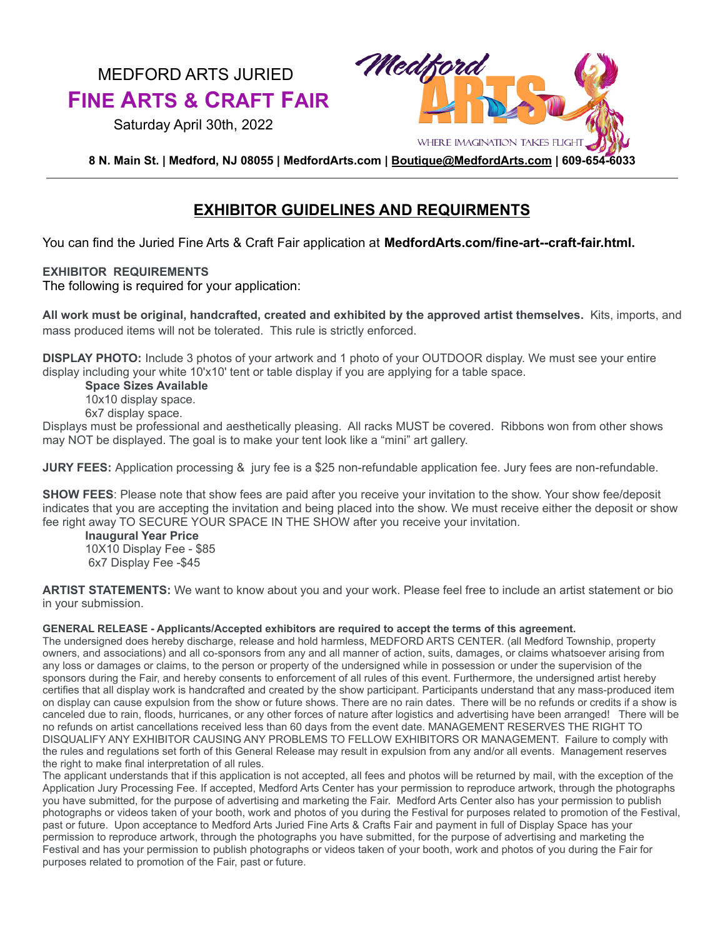# MEDFORD ARTS JURIED **FINE ARTS & CRAFT FAIR**

Saturday April 30th, 2022



**8 N. Main St. | Medford, NJ 08055 | MedfordArts.com | [Boutique@MedfordArts.com](mailto:Boutique@MedfordArts.com) | 609-654-6033**

# **EXHIBITOR GUIDELINES AND REQUIRMENTS**

You can find the Juried Fine Arts & Craft Fair application at **MedfordArts.com/fine-art--craft-fair.html.**

### **EXHIBITOR REQUIREMENTS**

The following is required for your application:

**All work must be original, handcrafted, created and exhibited by the approved artist themselves.** Kits, imports, and mass produced items will not be tolerated. This rule is strictly enforced.

**DISPLAY PHOTO:** Include 3 photos of your artwork and 1 photo of your OUTDOOR display. We must see your entire display including your white 10'x10' tent or table display if you are applying for a table space.

**Space Sizes Available**

10x10 display space.

6x7 display space.

Displays must be professional and aesthetically pleasing. All racks MUST be covered. Ribbons won from other shows may NOT be displayed. The goal is to make your tent look like a "mini" art gallery.

**JURY FEES:** Application processing & jury fee is a \$25 non-refundable application fee. Jury fees are non-refundable.

**SHOW FEES**: Please note that show fees are paid after you receive your invitation to the show. Your show fee/deposit indicates that you are accepting the invitation and being placed into the show. We must receive either the deposit or show fee right away TO SECURE YOUR SPACE IN THE SHOW after you receive your invitation.

**Inaugural Year Price** 10X10 Display Fee - \$85 6x7 Display Fee -\$45

**ARTIST STATEMENTS:** We want to know about you and your work. Please feel free to include an artist statement or bio in your submission.

#### **GENERAL RELEASE - Applicants/Accepted exhibitors are required to accept the terms of this agreement.**

The undersigned does hereby discharge, release and hold harmless, MEDFORD ARTS CENTER. (all Medford Township, property owners, and associations) and all co-sponsors from any and all manner of action, suits, damages, or claims whatsoever arising from any loss or damages or claims, to the person or property of the undersigned while in possession or under the supervision of the sponsors during the Fair, and hereby consents to enforcement of all rules of this event. Furthermore, the undersigned artist hereby certifies that all display work is handcrafted and created by the show participant. Participants understand that any mass-produced item on display can cause expulsion from the show or future shows. There are no rain dates. There will be no refunds or credits if a show is canceled due to rain, floods, hurricanes, or any other forces of nature after logistics and advertising have been arranged! There will be no refunds on artist cancellations received less than 60 days from the event date. MANAGEMENT RESERVES THE RIGHT TO DISQUALIFY ANY EXHIBITOR CAUSING ANY PROBLEMS TO FELLOW EXHIBITORS OR MANAGEMENT. Failure to comply with the rules and regulations set forth of this General Release may result in expulsion from any and/or all events. Management reserves the right to make final interpretation of all rules.

The applicant understands that if this application is not accepted, all fees and photos will be returned by mail, with the exception of the Application Jury Processing Fee. If accepted, Medford Arts Center has your permission to reproduce artwork, through the photographs you have submitted, for the purpose of advertising and marketing the Fair. Medford Arts Center also has your permission to publish photographs or videos taken of your booth, work and photos of you during the Festival for purposes related to promotion of the Festival, past or future. Upon acceptance to Medford Arts Juried Fine Arts & Crafts Fair and payment in full of Display Space has your permission to reproduce artwork, through the photographs you have submitted, for the purpose of advertising and marketing the Festival and has your permission to publish photographs or videos taken of your booth, work and photos of you during the Fair for purposes related to promotion of the Fair, past or future.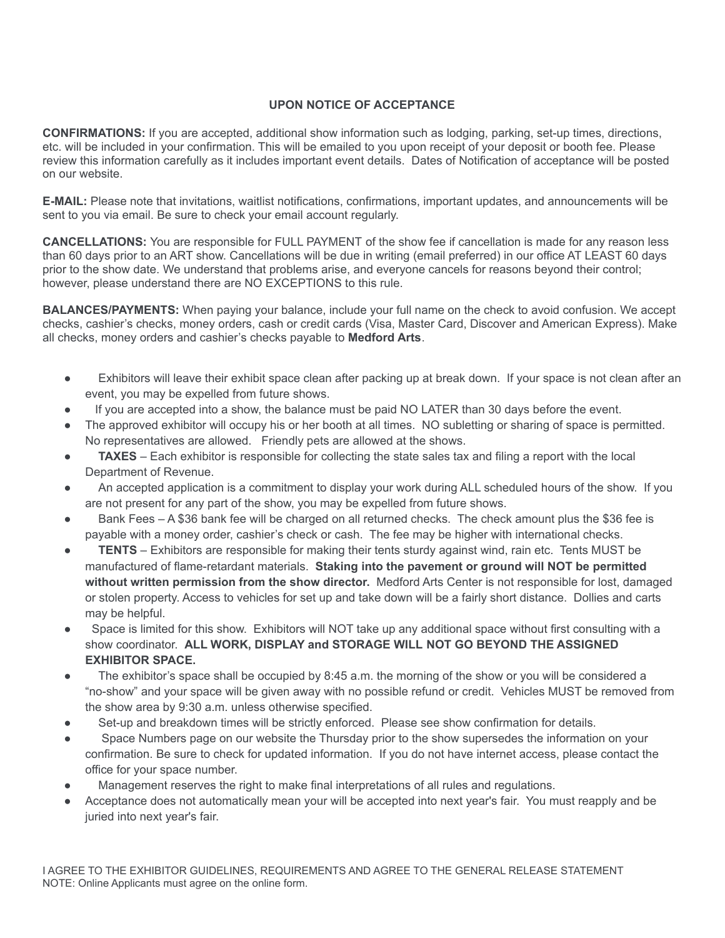## **UPON NOTICE OF ACCEPTANCE**

**CONFIRMATIONS:** If you are accepted, additional show information such as lodging, parking, set-up times, directions, etc. will be included in your confirmation. This will be emailed to you upon receipt of your deposit or booth fee. Please review this information carefully as it includes important event details. Dates of Notification of acceptance will be posted on our website.

**E-MAIL:** Please note that invitations, waitlist notifications, confirmations, important updates, and announcements will be sent to you via email. Be sure to check your email account regularly.

**CANCELLATIONS:** You are responsible for FULL PAYMENT of the show fee if cancellation is made for any reason less than 60 days prior to an ART show. Cancellations will be due in writing (email preferred) in our office AT LEAST 60 days prior to the show date. We understand that problems arise, and everyone cancels for reasons beyond their control; however, please understand there are NO EXCEPTIONS to this rule.

**BALANCES/PAYMENTS:** When paying your balance, include your full name on the check to avoid confusion. We accept checks, cashier's checks, money orders, cash or credit cards (Visa, Master Card, Discover and American Express). Make all checks, money orders and cashier's checks payable to **Medford Arts**.

- Exhibitors will leave their exhibit space clean after packing up at break down. If your space is not clean after an event, you may be expelled from future shows.
- If you are accepted into a show, the balance must be paid NO LATER than 30 days before the event.
- The approved exhibitor will occupy his or her booth at all times. NO subletting or sharing of space is permitted. No representatives are allowed. Friendly pets are allowed at the shows.
- **TAXES** Each exhibitor is responsible for collecting the state sales tax and filing a report with the local Department of Revenue.
- An accepted application is a commitment to display your work during ALL scheduled hours of the show. If you are not present for any part of the show, you may be expelled from future shows.
- Bank Fees A \$36 bank fee will be charged on all returned checks. The check amount plus the \$36 fee is payable with a money order, cashier's check or cash. The fee may be higher with international checks.
- **TENTS** Exhibitors are responsible for making their tents sturdy against wind, rain etc. Tents MUST be manufactured of flame-retardant materials. **Staking into the pavement or ground will NOT be permitted without written permission from the show director.** Medford Arts Center is not responsible for lost, damaged or stolen property. Access to vehicles for set up and take down will be a fairly short distance. Dollies and carts may be helpful.
- Space is limited for this show. Exhibitors will NOT take up any additional space without first consulting with a show coordinator. **ALL WORK, DISPLAY and STORAGE WILL NOT GO BEYOND THE ASSIGNED EXHIBITOR SPACE.**
- The exhibitor's space shall be occupied by 8:45 a.m. the morning of the show or you will be considered a "no-show" and your space will be given away with no possible refund or credit. Vehicles MUST be removed from the show area by 9:30 a.m. unless otherwise specified.
- Set-up and breakdown times will be strictly enforced. Please see show confirmation for details.
- Space Numbers page on our website the Thursday prior to the show supersedes the information on your confirmation. Be sure to check for updated information. If you do not have internet access, please contact the office for your space number.
- Management reserves the right to make final interpretations of all rules and regulations.
- Acceptance does not automatically mean your will be accepted into next year's fair. You must reapply and be juried into next year's fair.